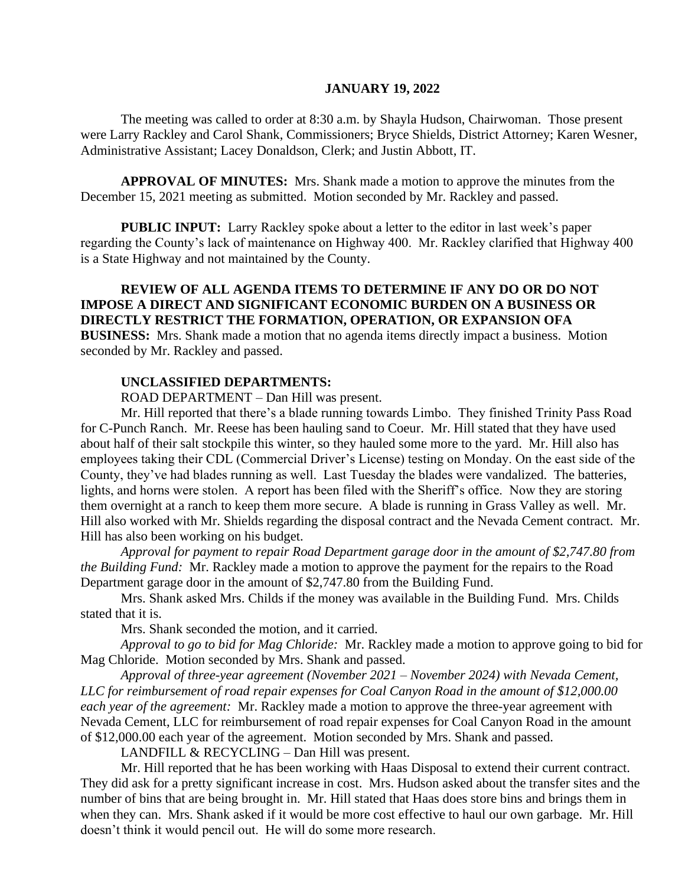#### **JANUARY 19, 2022**

The meeting was called to order at 8:30 a.m. by Shayla Hudson, Chairwoman. Those present were Larry Rackley and Carol Shank, Commissioners; Bryce Shields, District Attorney; Karen Wesner, Administrative Assistant; Lacey Donaldson, Clerk; and Justin Abbott, IT.

**APPROVAL OF MINUTES:** Mrs. Shank made a motion to approve the minutes from the December 15, 2021 meeting as submitted. Motion seconded by Mr. Rackley and passed.

 **PUBLIC INPUT:** Larry Rackley spoke about a letter to the editor in last week's paper regarding the County's lack of maintenance on Highway 400. Mr. Rackley clarified that Highway 400 is a State Highway and not maintained by the County.

# **REVIEW OF ALL AGENDA ITEMS TO DETERMINE IF ANY DO OR DO NOT IMPOSE A DIRECT AND SIGNIFICANT ECONOMIC BURDEN ON A BUSINESS OR DIRECTLY RESTRICT THE FORMATION, OPERATION, OR EXPANSION OFA BUSINESS:** Mrs. Shank made a motion that no agenda items directly impact a business. Motion seconded by Mr. Rackley and passed.

## **UNCLASSIFIED DEPARTMENTS:**

ROAD DEPARTMENT – Dan Hill was present.

Mr. Hill reported that there's a blade running towards Limbo. They finished Trinity Pass Road for C-Punch Ranch. Mr. Reese has been hauling sand to Coeur. Mr. Hill stated that they have used about half of their salt stockpile this winter, so they hauled some more to the yard. Mr. Hill also has employees taking their CDL (Commercial Driver's License) testing on Monday. On the east side of the County, they've had blades running as well. Last Tuesday the blades were vandalized. The batteries, lights, and horns were stolen. A report has been filed with the Sheriff's office. Now they are storing them overnight at a ranch to keep them more secure. A blade is running in Grass Valley as well. Mr. Hill also worked with Mr. Shields regarding the disposal contract and the Nevada Cement contract. Mr. Hill has also been working on his budget.

*Approval for payment to repair Road Department garage door in the amount of \$2,747.80 from the Building Fund:* Mr. Rackley made a motion to approve the payment for the repairs to the Road Department garage door in the amount of \$2,747.80 from the Building Fund.

Mrs. Shank asked Mrs. Childs if the money was available in the Building Fund. Mrs. Childs stated that it is.

Mrs. Shank seconded the motion, and it carried.

*Approval to go to bid for Mag Chloride:* Mr. Rackley made a motion to approve going to bid for Mag Chloride. Motion seconded by Mrs. Shank and passed.

*Approval of three-year agreement (November 2021 – November 2024) with Nevada Cement, LLC for reimbursement of road repair expenses for Coal Canyon Road in the amount of \$12,000.00 each year of the agreement:* Mr. Rackley made a motion to approve the three-year agreement with Nevada Cement, LLC for reimbursement of road repair expenses for Coal Canyon Road in the amount of \$12,000.00 each year of the agreement. Motion seconded by Mrs. Shank and passed.

LANDFILL & RECYCLING – Dan Hill was present.

Mr. Hill reported that he has been working with Haas Disposal to extend their current contract. They did ask for a pretty significant increase in cost. Mrs. Hudson asked about the transfer sites and the number of bins that are being brought in. Mr. Hill stated that Haas does store bins and brings them in when they can. Mrs. Shank asked if it would be more cost effective to haul our own garbage. Mr. Hill doesn't think it would pencil out. He will do some more research.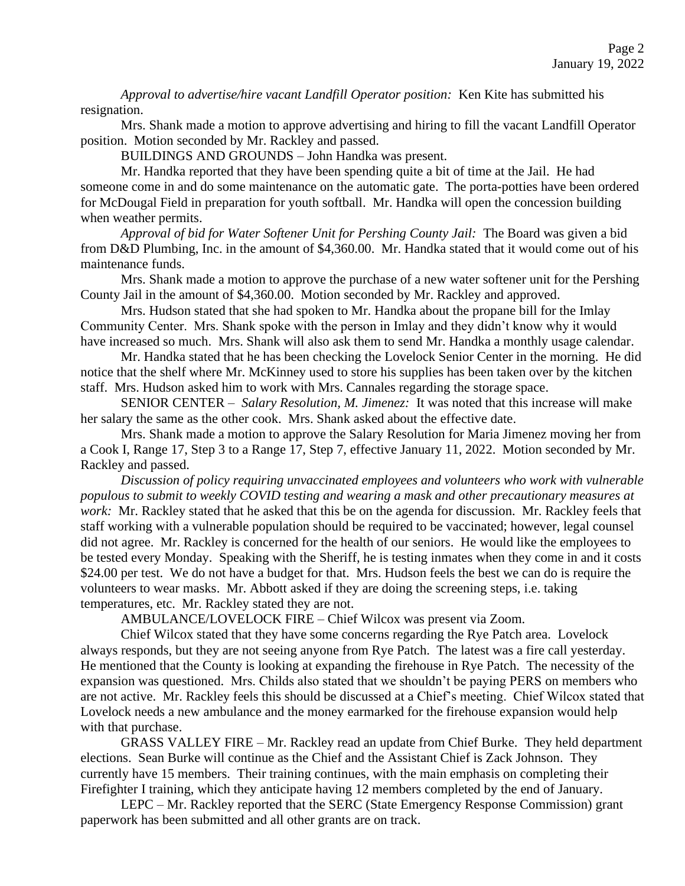*Approval to advertise/hire vacant Landfill Operator position:* Ken Kite has submitted his resignation.

Mrs. Shank made a motion to approve advertising and hiring to fill the vacant Landfill Operator position. Motion seconded by Mr. Rackley and passed.

BUILDINGS AND GROUNDS – John Handka was present.

Mr. Handka reported that they have been spending quite a bit of time at the Jail. He had someone come in and do some maintenance on the automatic gate. The porta-potties have been ordered for McDougal Field in preparation for youth softball. Mr. Handka will open the concession building when weather permits.

*Approval of bid for Water Softener Unit for Pershing County Jail:* The Board was given a bid from D&D Plumbing, Inc. in the amount of \$4,360.00. Mr. Handka stated that it would come out of his maintenance funds.

Mrs. Shank made a motion to approve the purchase of a new water softener unit for the Pershing County Jail in the amount of \$4,360.00. Motion seconded by Mr. Rackley and approved.

Mrs. Hudson stated that she had spoken to Mr. Handka about the propane bill for the Imlay Community Center. Mrs. Shank spoke with the person in Imlay and they didn't know why it would have increased so much. Mrs. Shank will also ask them to send Mr. Handka a monthly usage calendar.

Mr. Handka stated that he has been checking the Lovelock Senior Center in the morning. He did notice that the shelf where Mr. McKinney used to store his supplies has been taken over by the kitchen staff. Mrs. Hudson asked him to work with Mrs. Cannales regarding the storage space.

SENIOR CENTER – *Salary Resolution, M. Jimenez:* It was noted that this increase will make her salary the same as the other cook. Mrs. Shank asked about the effective date.

Mrs. Shank made a motion to approve the Salary Resolution for Maria Jimenez moving her from a Cook I, Range 17, Step 3 to a Range 17, Step 7, effective January 11, 2022. Motion seconded by Mr. Rackley and passed.

*Discussion of policy requiring unvaccinated employees and volunteers who work with vulnerable populous to submit to weekly COVID testing and wearing a mask and other precautionary measures at work:* Mr. Rackley stated that he asked that this be on the agenda for discussion. Mr. Rackley feels that staff working with a vulnerable population should be required to be vaccinated; however, legal counsel did not agree. Mr. Rackley is concerned for the health of our seniors. He would like the employees to be tested every Monday. Speaking with the Sheriff, he is testing inmates when they come in and it costs \$24.00 per test. We do not have a budget for that. Mrs. Hudson feels the best we can do is require the volunteers to wear masks. Mr. Abbott asked if they are doing the screening steps, i.e. taking temperatures, etc. Mr. Rackley stated they are not.

AMBULANCE/LOVELOCK FIRE – Chief Wilcox was present via Zoom.

Chief Wilcox stated that they have some concerns regarding the Rye Patch area. Lovelock always responds, but they are not seeing anyone from Rye Patch. The latest was a fire call yesterday. He mentioned that the County is looking at expanding the firehouse in Rye Patch. The necessity of the expansion was questioned. Mrs. Childs also stated that we shouldn't be paying PERS on members who are not active. Mr. Rackley feels this should be discussed at a Chief's meeting. Chief Wilcox stated that Lovelock needs a new ambulance and the money earmarked for the firehouse expansion would help with that purchase.

GRASS VALLEY FIRE – Mr. Rackley read an update from Chief Burke. They held department elections. Sean Burke will continue as the Chief and the Assistant Chief is Zack Johnson. They currently have 15 members. Their training continues, with the main emphasis on completing their Firefighter I training, which they anticipate having 12 members completed by the end of January.

LEPC – Mr. Rackley reported that the SERC (State Emergency Response Commission) grant paperwork has been submitted and all other grants are on track.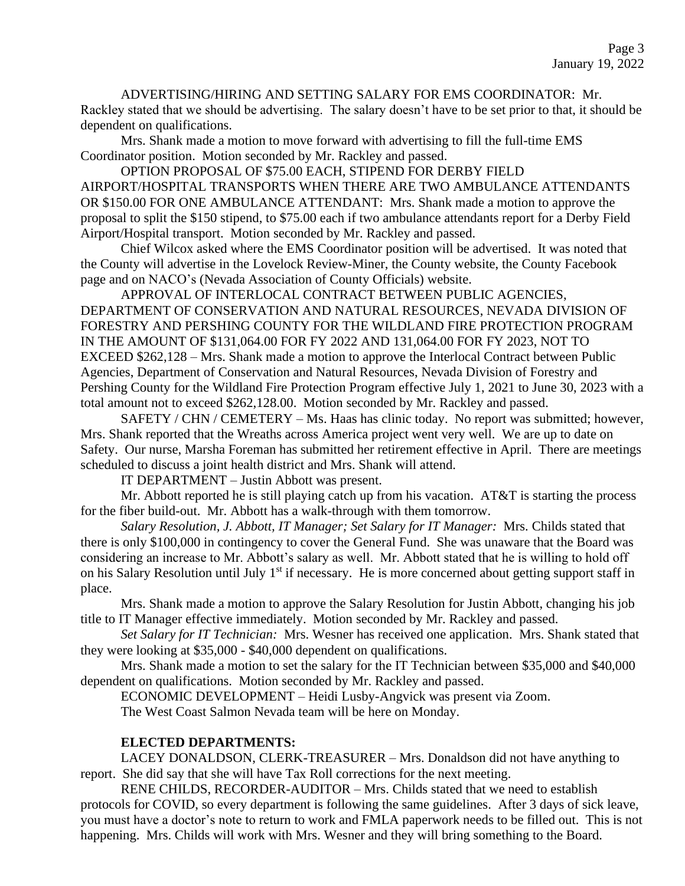ADVERTISING/HIRING AND SETTING SALARY FOR EMS COORDINATOR: Mr. Rackley stated that we should be advertising. The salary doesn't have to be set prior to that, it should be dependent on qualifications.

Mrs. Shank made a motion to move forward with advertising to fill the full-time EMS Coordinator position. Motion seconded by Mr. Rackley and passed.

OPTION PROPOSAL OF \$75.00 EACH, STIPEND FOR DERBY FIELD AIRPORT/HOSPITAL TRANSPORTS WHEN THERE ARE TWO AMBULANCE ATTENDANTS OR \$150.00 FOR ONE AMBULANCE ATTENDANT: Mrs. Shank made a motion to approve the proposal to split the \$150 stipend, to \$75.00 each if two ambulance attendants report for a Derby Field Airport/Hospital transport. Motion seconded by Mr. Rackley and passed.

Chief Wilcox asked where the EMS Coordinator position will be advertised. It was noted that the County will advertise in the Lovelock Review-Miner, the County website, the County Facebook page and on NACO's (Nevada Association of County Officials) website.

APPROVAL OF INTERLOCAL CONTRACT BETWEEN PUBLIC AGENCIES, DEPARTMENT OF CONSERVATION AND NATURAL RESOURCES, NEVADA DIVISION OF FORESTRY AND PERSHING COUNTY FOR THE WILDLAND FIRE PROTECTION PROGRAM IN THE AMOUNT OF \$131,064.00 FOR FY 2022 AND 131,064.00 FOR FY 2023, NOT TO EXCEED \$262,128 – Mrs. Shank made a motion to approve the Interlocal Contract between Public Agencies, Department of Conservation and Natural Resources, Nevada Division of Forestry and Pershing County for the Wildland Fire Protection Program effective July 1, 2021 to June 30, 2023 with a total amount not to exceed \$262,128.00. Motion seconded by Mr. Rackley and passed.

SAFETY / CHN / CEMETERY – Ms. Haas has clinic today. No report was submitted; however, Mrs. Shank reported that the Wreaths across America project went very well. We are up to date on Safety. Our nurse, Marsha Foreman has submitted her retirement effective in April. There are meetings scheduled to discuss a joint health district and Mrs. Shank will attend.

IT DEPARTMENT – Justin Abbott was present.

Mr. Abbott reported he is still playing catch up from his vacation. AT  $\&$ T is starting the process for the fiber build-out. Mr. Abbott has a walk-through with them tomorrow.

*Salary Resolution, J. Abbott, IT Manager; Set Salary for IT Manager:* Mrs. Childs stated that there is only \$100,000 in contingency to cover the General Fund. She was unaware that the Board was considering an increase to Mr. Abbott's salary as well. Mr. Abbott stated that he is willing to hold off on his Salary Resolution until July 1<sup>st</sup> if necessary. He is more concerned about getting support staff in place.

Mrs. Shank made a motion to approve the Salary Resolution for Justin Abbott, changing his job title to IT Manager effective immediately. Motion seconded by Mr. Rackley and passed.

*Set Salary for IT Technician:* Mrs. Wesner has received one application. Mrs. Shank stated that they were looking at \$35,000 - \$40,000 dependent on qualifications.

Mrs. Shank made a motion to set the salary for the IT Technician between \$35,000 and \$40,000 dependent on qualifications. Motion seconded by Mr. Rackley and passed.

ECONOMIC DEVELOPMENT – Heidi Lusby-Angvick was present via Zoom.

The West Coast Salmon Nevada team will be here on Monday.

## **ELECTED DEPARTMENTS:**

LACEY DONALDSON, CLERK-TREASURER – Mrs. Donaldson did not have anything to report. She did say that she will have Tax Roll corrections for the next meeting.

RENE CHILDS, RECORDER-AUDITOR – Mrs. Childs stated that we need to establish protocols for COVID, so every department is following the same guidelines. After 3 days of sick leave, you must have a doctor's note to return to work and FMLA paperwork needs to be filled out. This is not happening. Mrs. Childs will work with Mrs. Wesner and they will bring something to the Board.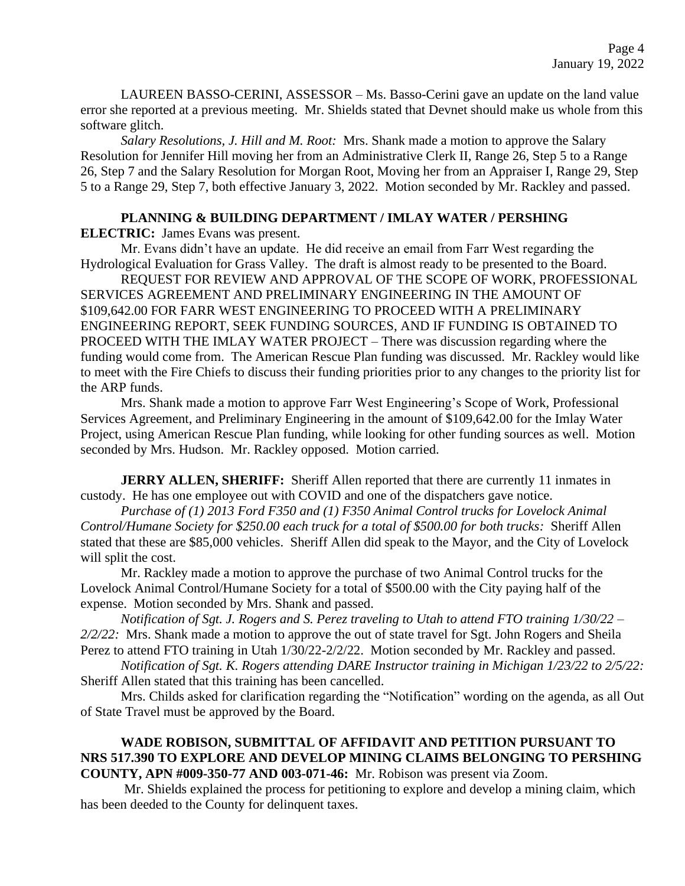LAUREEN BASSO-CERINI, ASSESSOR – Ms. Basso-Cerini gave an update on the land value error she reported at a previous meeting. Mr. Shields stated that Devnet should make us whole from this software glitch.

*Salary Resolutions, J. Hill and M. Root:* Mrs. Shank made a motion to approve the Salary Resolution for Jennifer Hill moving her from an Administrative Clerk II, Range 26, Step 5 to a Range 26, Step 7 and the Salary Resolution for Morgan Root, Moving her from an Appraiser I, Range 29, Step 5 to a Range 29, Step 7, both effective January 3, 2022. Motion seconded by Mr. Rackley and passed.

# **PLANNING & BUILDING DEPARTMENT / IMLAY WATER / PERSHING**

**ELECTRIC:** James Evans was present.

Mr. Evans didn't have an update. He did receive an email from Farr West regarding the Hydrological Evaluation for Grass Valley. The draft is almost ready to be presented to the Board.

REQUEST FOR REVIEW AND APPROVAL OF THE SCOPE OF WORK, PROFESSIONAL SERVICES AGREEMENT AND PRELIMINARY ENGINEERING IN THE AMOUNT OF \$109,642.00 FOR FARR WEST ENGINEERING TO PROCEED WITH A PRELIMINARY ENGINEERING REPORT, SEEK FUNDING SOURCES, AND IF FUNDING IS OBTAINED TO PROCEED WITH THE IMLAY WATER PROJECT – There was discussion regarding where the funding would come from. The American Rescue Plan funding was discussed. Mr. Rackley would like to meet with the Fire Chiefs to discuss their funding priorities prior to any changes to the priority list for the ARP funds.

Mrs. Shank made a motion to approve Farr West Engineering's Scope of Work, Professional Services Agreement, and Preliminary Engineering in the amount of \$109,642.00 for the Imlay Water Project, using American Rescue Plan funding, while looking for other funding sources as well. Motion seconded by Mrs. Hudson. Mr. Rackley opposed. Motion carried.

**JERRY ALLEN, SHERIFF:** Sheriff Allen reported that there are currently 11 inmates in custody. He has one employee out with COVID and one of the dispatchers gave notice.

*Purchase of (1) 2013 Ford F350 and (1) F350 Animal Control trucks for Lovelock Animal Control/Humane Society for \$250.00 each truck for a total of \$500.00 for both trucks:* Sheriff Allen stated that these are \$85,000 vehicles. Sheriff Allen did speak to the Mayor, and the City of Lovelock will split the cost.

Mr. Rackley made a motion to approve the purchase of two Animal Control trucks for the Lovelock Animal Control/Humane Society for a total of \$500.00 with the City paying half of the expense. Motion seconded by Mrs. Shank and passed.

*Notification of Sgt. J. Rogers and S. Perez traveling to Utah to attend FTO training 1/30/22 – 2/2/22:* Mrs. Shank made a motion to approve the out of state travel for Sgt. John Rogers and Sheila Perez to attend FTO training in Utah 1/30/22-2/2/22. Motion seconded by Mr. Rackley and passed.

*Notification of Sgt. K. Rogers attending DARE Instructor training in Michigan 1/23/22 to 2/5/22:* Sheriff Allen stated that this training has been cancelled.

Mrs. Childs asked for clarification regarding the "Notification" wording on the agenda, as all Out of State Travel must be approved by the Board.

## **WADE ROBISON, SUBMITTAL OF AFFIDAVIT AND PETITION PURSUANT TO NRS 517.390 TO EXPLORE AND DEVELOP MINING CLAIMS BELONGING TO PERSHING COUNTY, APN #009-350-77 AND 003-071-46:** Mr. Robison was present via Zoom.

Mr. Shields explained the process for petitioning to explore and develop a mining claim, which has been deeded to the County for delinquent taxes.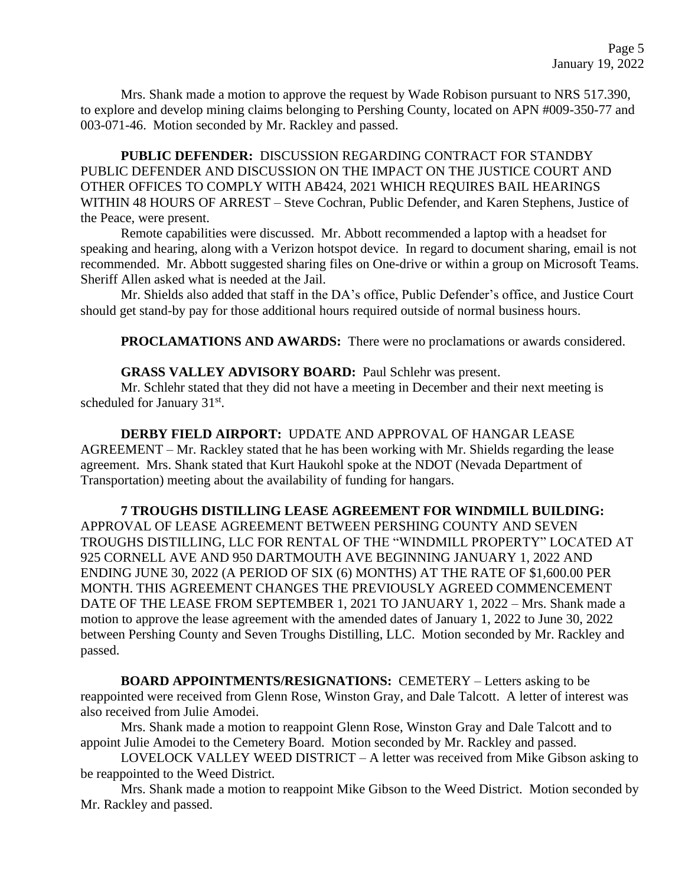Mrs. Shank made a motion to approve the request by Wade Robison pursuant to NRS 517.390, to explore and develop mining claims belonging to Pershing County, located on APN #009-350-77 and 003-071-46. Motion seconded by Mr. Rackley and passed.

**PUBLIC DEFENDER:** DISCUSSION REGARDING CONTRACT FOR STANDBY PUBLIC DEFENDER AND DISCUSSION ON THE IMPACT ON THE JUSTICE COURT AND OTHER OFFICES TO COMPLY WITH AB424, 2021 WHICH REQUIRES BAIL HEARINGS WITHIN 48 HOURS OF ARREST – Steve Cochran, Public Defender, and Karen Stephens, Justice of the Peace, were present.

Remote capabilities were discussed. Mr. Abbott recommended a laptop with a headset for speaking and hearing, along with a Verizon hotspot device. In regard to document sharing, email is not recommended. Mr. Abbott suggested sharing files on One-drive or within a group on Microsoft Teams. Sheriff Allen asked what is needed at the Jail.

Mr. Shields also added that staff in the DA's office, Public Defender's office, and Justice Court should get stand-by pay for those additional hours required outside of normal business hours.

**PROCLAMATIONS AND AWARDS:** There were no proclamations or awards considered.

### **GRASS VALLEY ADVISORY BOARD:** Paul Schlehr was present.

Mr. Schlehr stated that they did not have a meeting in December and their next meeting is scheduled for January 31<sup>st</sup>.

**DERBY FIELD AIRPORT:** UPDATE AND APPROVAL OF HANGAR LEASE AGREEMENT – Mr. Rackley stated that he has been working with Mr. Shields regarding the lease agreement. Mrs. Shank stated that Kurt Haukohl spoke at the NDOT (Nevada Department of Transportation) meeting about the availability of funding for hangars.

### **7 TROUGHS DISTILLING LEASE AGREEMENT FOR WINDMILL BUILDING:**

APPROVAL OF LEASE AGREEMENT BETWEEN PERSHING COUNTY AND SEVEN TROUGHS DISTILLING, LLC FOR RENTAL OF THE "WINDMILL PROPERTY" LOCATED AT 925 CORNELL AVE AND 950 DARTMOUTH AVE BEGINNING JANUARY 1, 2022 AND ENDING JUNE 30, 2022 (A PERIOD OF SIX (6) MONTHS) AT THE RATE OF \$1,600.00 PER MONTH. THIS AGREEMENT CHANGES THE PREVIOUSLY AGREED COMMENCEMENT DATE OF THE LEASE FROM SEPTEMBER 1, 2021 TO JANUARY 1, 2022 – Mrs. Shank made a motion to approve the lease agreement with the amended dates of January 1, 2022 to June 30, 2022 between Pershing County and Seven Troughs Distilling, LLC. Motion seconded by Mr. Rackley and passed.

**BOARD APPOINTMENTS/RESIGNATIONS:** CEMETERY – Letters asking to be reappointed were received from Glenn Rose, Winston Gray, and Dale Talcott. A letter of interest was also received from Julie Amodei.

Mrs. Shank made a motion to reappoint Glenn Rose, Winston Gray and Dale Talcott and to appoint Julie Amodei to the Cemetery Board. Motion seconded by Mr. Rackley and passed.

LOVELOCK VALLEY WEED DISTRICT – A letter was received from Mike Gibson asking to be reappointed to the Weed District.

Mrs. Shank made a motion to reappoint Mike Gibson to the Weed District. Motion seconded by Mr. Rackley and passed.